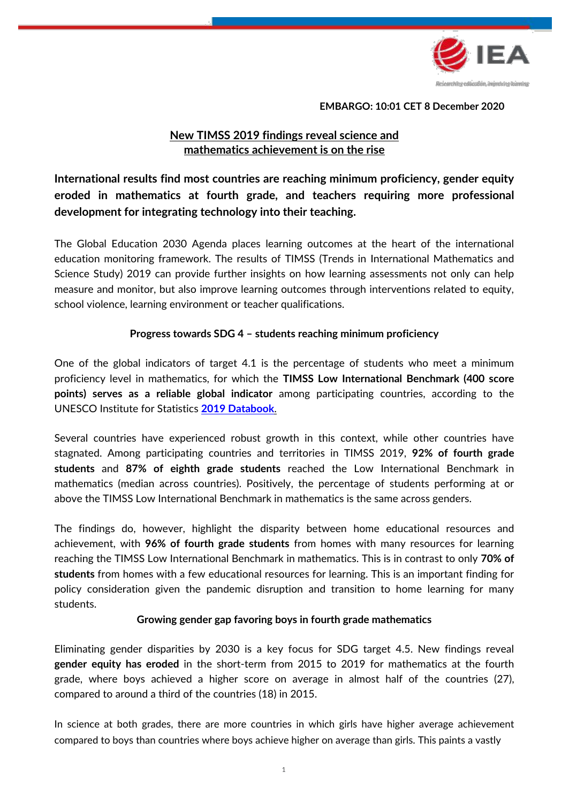

**EMBARGO: 10:01 CET 8 December 2020**

# **New TIMSS 2019 findings reveal science and mathematics achievement is on the rise**

# **International results find most countries are reaching minimum proficiency, gender equity eroded in mathematics at fourth grade, and teachers requiring more professional development for integrating technology into their teaching.**

The Global Education 2030 Agenda places learning outcomes at the heart of the international education monitoring framework. The results of TIMSS (Trends in International Mathematics and Science Study) 2019 can provide further insights on how learning assessments not only can help measure and monitor, but also improve learning outcomes through interventions related to equity, school violence, learning environment or teacher qualifications.

## **Progress towards SDG 4 – students reaching minimum proficiency**

One of the global indicators of target 4.1 is the percentage of students who meet a minimum proficiency level in mathematics, for which the **TIMSS Low International Benchmark (400 score points) serves as a reliable global indicator** among participating countries, according to the UNESCO Institute for Statistics **[2019 Databook](http://uis.unesco.org/sites/default/files/documents/sdg4-databook-global-ed-indicators-2019-en.pdf)**.

Several countries have experienced robust growth in this context, while other countries have stagnated. Among participating countries and territories in TIMSS 2019, **92% of fourth grade students** and **87% of eighth grade students** reached the Low International Benchmark in mathematics (median across countries). Positively, the percentage of students performing at or above the TIMSS Low International Benchmark in mathematics is the same across genders.

The findings do, however, highlight the disparity between home educational resources and achievement, with **96% of fourth grade students** from homes with many resources for learning reaching the TIMSS Low International Benchmark in mathematics. This is in contrast to only **70% of students** from homes with a few educational resources for learning. This is an important finding for policy consideration given the pandemic disruption and transition to home learning for many students.

## **Growing gender gap favoring boys in fourth grade mathematics**

Eliminating gender disparities by 2030 is a key focus for SDG target 4.5. New findings reveal **gender equity has eroded** in the short-term from 2015 to 2019 for mathematics at the fourth grade, where boys achieved a higher score on average in almost half of the countries (27), compared to around a third of the countries (18) in 2015.

In science at both grades, there are more countries in which girls have higher average achievement compared to boys than countries where boys achieve higher on average than girls. This paints a vastly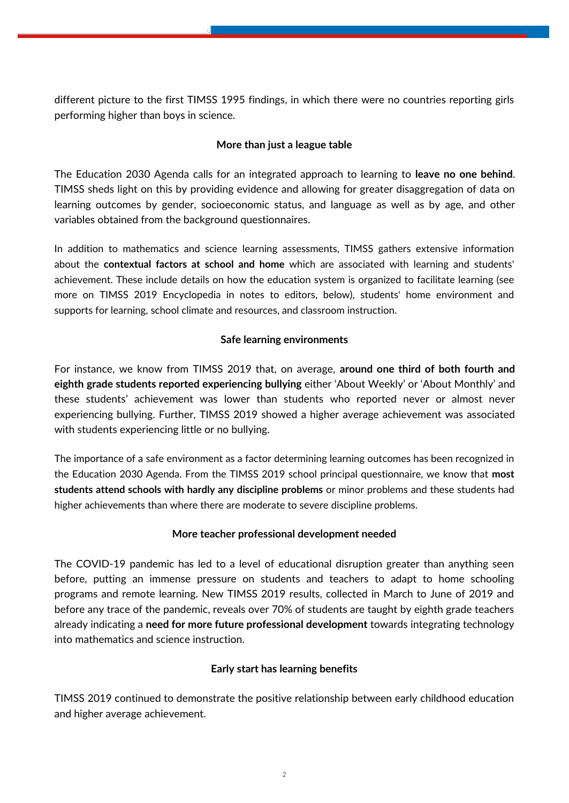different picture to the first TIMSS 1995 findings, in which there were no countries reporting girls performing higher than boys in science.

# **More than just a league table**

The Education 2030 Agenda calls for an integrated approach to learning to **leave no one behind**. TIMSS sheds light on this by providing evidence and allowing for greater disaggregation of data on learning outcomes by gender, socioeconomic status, and language as well as by age, and other variables obtained from the background questionnaires.

In addition to mathematics and science learning assessments, TIMSS gathers extensive information about the **contextual factors at school and home** which are associated with learning and students' achievement. These include details on how the education system is organized to facilitate learning (see more on TIMSS 2019 Encyclopedia in notes to editors, below), students' home environment and supports for learning, school climate and resources, and classroom instruction.

## **Safe learning environments**

For instance, we know from TIMSS 2019 that, on average, **around one third of both fourth and eighth grade students reported experiencing bullying** either 'About Weekly' or 'About Monthly' and these students' achievement was lower than students who reported never or almost never experiencing bullying. Further, TIMSS 2019 showed a higher average achievement was associated with students experiencing little or no bullying.

The importance of a safe environment as a factor determining learning outcomes has been recognized in the Education 2030 Agenda. From the TIMSS 2019 school principal questionnaire, we know that **most students attend schools with hardly any discipline problems** or minor problems and these students had higher achievements than where there are moderate to severe discipline problems.

# **More teacher professional development needed**

The COVID-19 pandemic has led to a level of educational disruption greater than anything seen before, putting an immense pressure on students and teachers to adapt to home schooling programs and remote learning. New TIMSS 2019 results, collected in March to June of 2019 and before any trace of the pandemic, reveals over 70% of students are taught by eighth grade teachers already indicating a **need for more future professional development** towards integrating technology into mathematics and science instruction.

## **Early start has learning benefits**

TIMSS 2019 continued to demonstrate the positive relationship between early childhood education and higher average achievement.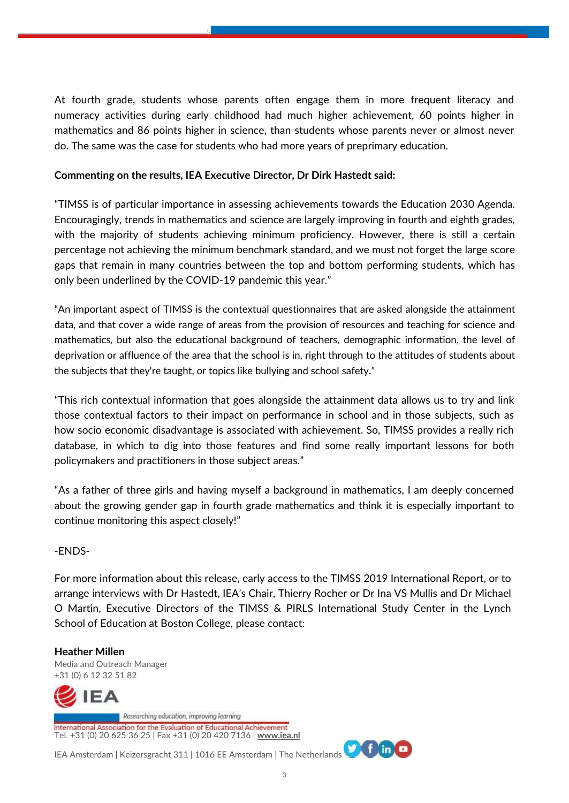At fourth grade, students whose parents often engage them in more frequent literacy and numeracy activities during early childhood had much higher achievement, 60 points higher in mathematics and 86 points higher in science, than students whose parents never or almost never do. The same was the case for students who had more years of preprimary education.

## **Commenting on the results, IEA Executive Director, Dr Dirk Hastedt said:**

"TIMSS is of particular importance in assessing achievements towards the Education 2030 Agenda. Encouragingly, trends in mathematics and science are largely improving in fourth and eighth grades, with the majority of students achieving minimum proficiency. However, there is still a certain percentage not achieving the minimum benchmark standard, and we must not forget the large score gaps that remain in many countries between the top and bottom performing students, which has only been underlined by the COVID-19 pandemic this year."

"An important aspect of TIMSS is the contextual questionnaires that are asked alongside the attainment data, and that cover a wide range of areas from the provision of resources and teaching for science and mathematics, but also the educational background of teachers, demographic information, the level of deprivation or affluence of the area that the school is in, right through to the attitudes of students about the subjects that they're taught, or topics like bullying and school safety."

"This rich contextual information that goes alongside the attainment data allows us to try and link those contextual factors to their impact on performance in school and in those subjects, such as how socio economic disadvantage is associated with achievement. So, TIMSS provides a really rich database, in which to dig into those features and find some really important lessons for both policymakers and practitioners in those subject areas."

"As a father of three girls and having myself a background in mathematics, I am deeply concerned about the growing gender gap in fourth grade mathematics and think it is especially important to continue monitoring this aspect closely!"

# -ENDS-

For more information about this release, early access to the TIMSS 2019 International Report, or to arrange interviews with Dr Hastedt, IEA's Chair, Thierry Rocher or Dr Ina VS Mullis and Dr Michael O Martin, Executive Directors of the TIMSS & PIRLS International Study Center in the Lynch School of Education at Boston College, please contact:

# **Heather Millen**

Media and Outreach Manager +31 (0) 6 12 32 51 82



ational Association for the Evaluation of Educational Achievement Tel. +31 (0) 20 625 36 25 | Fax +31 (0) 20 420 7136 | **[www.iea.nl](http://www.iea.nl/)**

IEA Amsterdam | Keizersgracht 311 | 1016 EE Amsterdam | The Netherlands

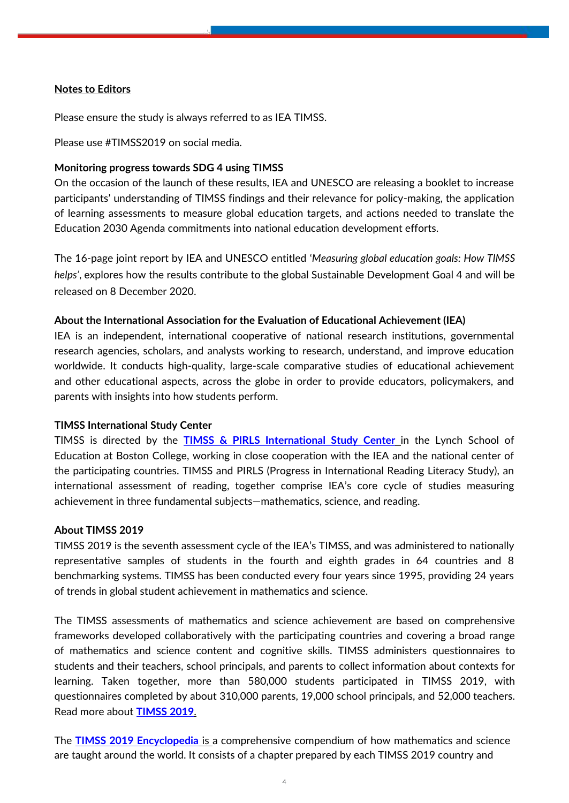## **Notes to Editors**

Please ensure the study is always referred to as IEA TIMSS.

Please use #TIMSS2019 on social media.

#### **Monitoring progress towards SDG 4 using TIMSS**

On the occasion of the launch of these results, IEA and UNESCO are releasing a booklet to increase participants' understanding of TIMSS findings and their relevance for policy-making, the application of learning assessments to measure global education targets, and actions needed to translate the Education 2030 Agenda commitments into national education development efforts.

The 16-page joint report by IEA and UNESCO entitled '*Measuring global education goals: How TIMSS helps'*, explores how the results contribute to the global Sustainable Development Goal 4 and will be released on 8 December 2020.

#### **About the International Association for the Evaluation of Educational Achievement (IEA)**

IEA is an independent, international cooperative of national research institutions, governmental research agencies, scholars, and analysts working to research, understand, and improve education worldwide. It conducts high-quality, large-scale comparative studies of educational achievement and other educational aspects, across the globe in order to provide educators, policymakers, and parents with insights into how students perform.

## **TIMSS International Study Center**

TIMSS is directed by the **[TIMSS & PIRLS International Study Center](http://timss.bc.edu/)** in the Lynch School of Education at Boston College, working in close cooperation with the IEA and the national center of the participating countries. TIMSS and PIRLS (Progress in International Reading Literacy Study), an international assessment of reading, together comprise IEA's core cycle of studies measuring achievement in three fundamental subjects—mathematics, science, and reading.

#### **About TIMSS 2019**

TIMSS 2019 is the seventh assessment cycle of the IEA's TIMSS, and was administered to nationally representative samples of students in the fourth and eighth grades in 64 countries and 8 benchmarking systems. TIMSS has been conducted every four years since 1995, providing 24 years of trends in global student achievement in mathematics and science.

The TIMSS assessments of mathematics and science achievement are based on comprehensive frameworks developed collaboratively with the participating countries and covering a broad range of mathematics and science content and cognitive skills. TIMSS administers questionnaires to students and their teachers, school principals, and parents to collect information about contexts for learning. Taken together, more than 580,000 students participated in TIMSS 2019, with questionnaires completed by about 310,000 parents, 19,000 school principals, and 52,000 teachers. Read more about **[TIMSS 2019](https://www.iea.nl/studies/iea/timss/2019)**.

The **[TIMSS 2019 Encyclopedia](https://timssandpirls.bc.edu/timss2019/)** is a comprehensive compendium of how mathematics and science are taught around the world. It consists of a chapter prepared by each TIMSS 2019 country and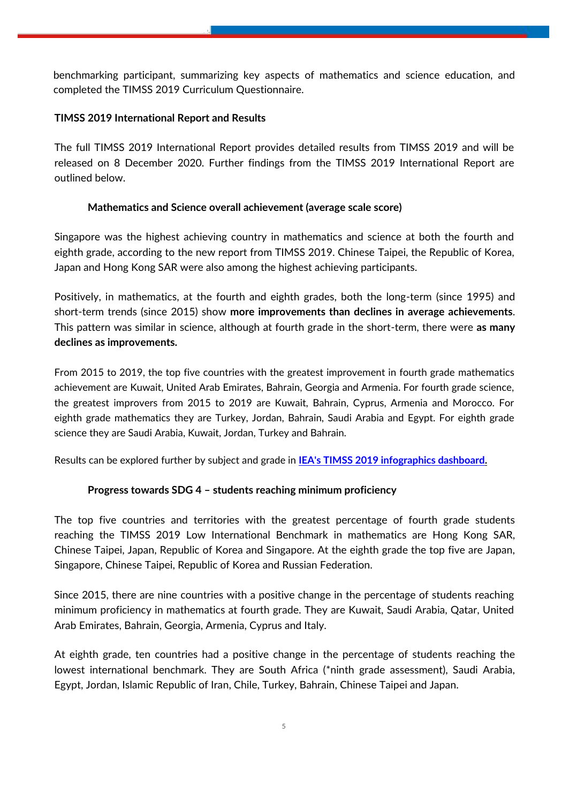benchmarking participant, summarizing key aspects of mathematics and science education, and completed the TIMSS 2019 Curriculum Questionnaire.

## **TIMSS 2019 International Report and Results**

The full TIMSS 2019 International Report provides detailed results from TIMSS 2019 and will be released on 8 December 2020. Further findings from the TIMSS 2019 International Report are outlined below.

## **Mathematics and Science overall achievement (average scale score)**

Singapore was the highest achieving country in mathematics and science at both the fourth and eighth grade, according to the new report from TIMSS 2019. Chinese Taipei, the Republic of Korea, Japan and Hong Kong SAR were also among the highest achieving participants.

Positively, in mathematics, at the fourth and eighth grades, both the long-term (since 1995) and short-term trends (since 2015) show **more improvements than declines in average achievements**. This pattern was similar in science, although at fourth grade in the short-term, there were **as many declines as improvements.**

From 2015 to 2019, the top five countries with the greatest improvement in fourth grade mathematics achievement are Kuwait, United Arab Emirates, Bahrain, Georgia and Armenia. For fourth grade science, the greatest improvers from 2015 to 2019 are Kuwait, Bahrain, Cyprus, Armenia and Morocco. For eighth grade mathematics they are Turkey, Jordan, Bahrain, Saudi Arabia and Egypt. For eighth grade science they are Saudi Arabia, Kuwait, Jordan, Turkey and Bahrain.

Results can be explored further by subject and grade in **[IEA's TIMSS 2019 infographics dashboard.](https://datastudio.google.com/u/0/reporting/4e57826a-fd39-46da-b87e-a36188fac026/page/gYLhB)**

## **Progress towards SDG 4 – students reaching minimum proficiency**

The top five countries and territories with the greatest percentage of fourth grade students reaching the TIMSS 2019 Low International Benchmark in mathematics are Hong Kong SAR, Chinese Taipei, Japan, Republic of Korea and Singapore. At the eighth grade the top five are Japan, Singapore, Chinese Taipei, Republic of Korea and Russian Federation.

Since 2015, there are nine countries with a positive change in the percentage of students reaching minimum proficiency in mathematics at fourth grade. They are Kuwait, Saudi Arabia, Qatar, United Arab Emirates, Bahrain, Georgia, Armenia, Cyprus and Italy.

At eighth grade, ten countries had a positive change in the percentage of students reaching the lowest international benchmark. They are South Africa (\*ninth grade assessment), Saudi Arabia, Egypt, Jordan, Islamic Republic of Iran, Chile, Turkey, Bahrain, Chinese Taipei and Japan.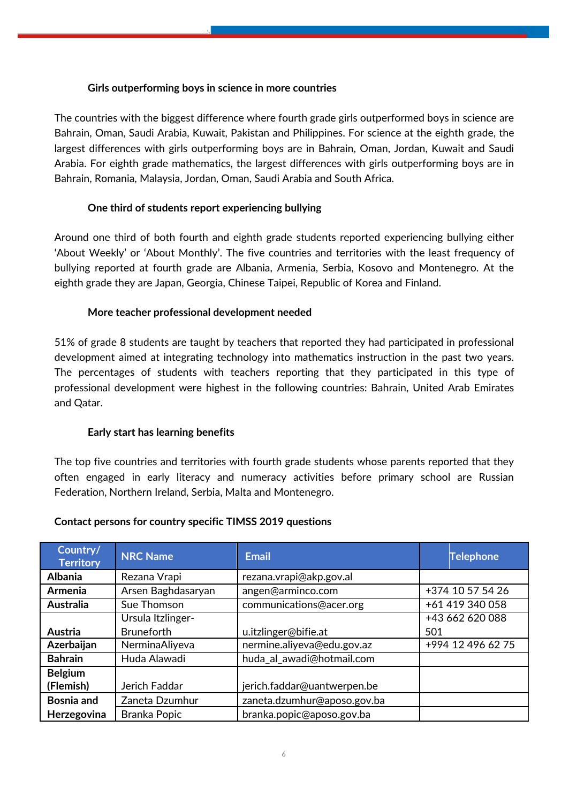## **Girls outperforming boys in science in more countries**

The countries with the biggest difference where fourth grade girls outperformed boys in science are Bahrain, Oman, Saudi Arabia, Kuwait, Pakistan and Philippines. For science at the eighth grade, the largest differences with girls outperforming boys are in Bahrain, Oman, Jordan, Kuwait and Saudi Arabia. For eighth grade mathematics, the largest differences with girls outperforming boys are in Bahrain, Romania, Malaysia, Jordan, Oman, Saudi Arabia and South Africa.

# **One third of students report experiencing bullying**

Around one third of both fourth and eighth grade students reported experiencing bullying either 'About Weekly' or 'About Monthly'. The five countries and territories with the least frequency of bullying reported at fourth grade are Albania, Armenia, Serbia, Kosovo and Montenegro. At the eighth grade they are Japan, Georgia, Chinese Taipei, Republic of Korea and Finland.

# **More teacher professional development needed**

51% of grade 8 students are taught by teachers that reported they had participated in professional development aimed at integrating technology into mathematics instruction in the past two years. The percentages of students with teachers reporting that they participated in this type of professional development were highest in the following countries: Bahrain, United Arab Emirates and Qatar.

# **Early start has learning benefits**

The top five countries and territories with fourth grade students whose parents reported that they often engaged in early literacy and numeracy activities before primary school are Russian Federation, Northern Ireland, Serbia, Malta and Montenegro.

| Country/<br><b>Territory</b> | <b>NRC Name</b>     | <b>Email</b>                | <b>Telephone</b>  |
|------------------------------|---------------------|-----------------------------|-------------------|
| <b>Albania</b>               | Rezana Vrapi        | rezana.vrapi@akp.gov.al     |                   |
| <b>Armenia</b>               | Arsen Baghdasaryan  | angen@arminco.com           | +374 10 57 54 26  |
| <b>Australia</b>             | Sue Thomson         | communications@acer.org     | +61 419 340 058   |
|                              | Ursula Itzlinger-   |                             | +43 662 620 088   |
| Austria                      | <b>Bruneforth</b>   | u.itzlinger@bifie.at        | 501               |
| Azerbaijan                   | NerminaAliyeva      | nermine.aliyeva@edu.gov.az  | +994 12 496 62 75 |
| <b>Bahrain</b>               | Huda Alawadi        | huda_al_awadi@hotmail.com   |                   |
| <b>Belgium</b>               |                     |                             |                   |
| (Flemish)                    | Jerich Faddar       | jerich.faddar@uantwerpen.be |                   |
| <b>Bosnia and</b>            | Zaneta Dzumhur      | zaneta.dzumhur@aposo.gov.ba |                   |
| Herzegovina                  | <b>Branka Popic</b> | branka.popic@aposo.gov.ba   |                   |

# **Contact persons for country specific TIMSS 2019 questions**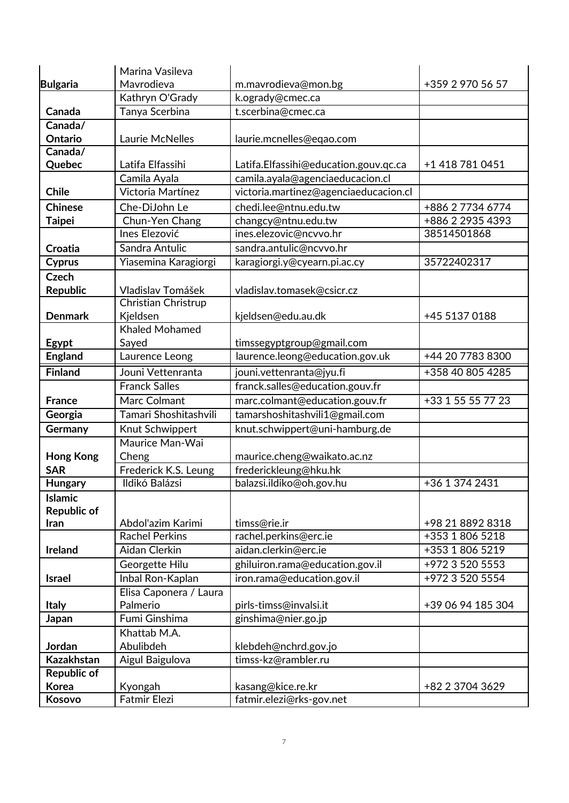|                    | Marina Vasileva                        |                                               |                                     |
|--------------------|----------------------------------------|-----------------------------------------------|-------------------------------------|
| <b>Bulgaria</b>    | Mavrodieva                             | m.mavrodieva@mon.bg                           | +359 2 970 56 57                    |
|                    | Kathryn O'Grady                        | k.ogrady@cmec.ca                              |                                     |
| Canada             | Tanya Scerbina                         | t.scerbina@cmec.ca                            |                                     |
| Canada/            |                                        |                                               |                                     |
| Ontario            | Laurie McNelles                        | laurie.mcnelles@eqao.com                      |                                     |
| Canada/            |                                        |                                               |                                     |
| Quebec             | Latifa Elfassihi                       | Latifa.Elfassihi@education.gouv.qc.ca         | +1 418 781 0451                     |
|                    | Camila Ayala                           | camila.ayala@agenciaeducacion.cl              |                                     |
| <b>Chile</b>       | Victoria Martínez                      | victoria.martinez@agenciaeducacion.cl         |                                     |
| <b>Chinese</b>     | Che-DiJohn Le                          | chedi.lee@ntnu.edu.tw                         | +886 2 7734 6774                    |
| <b>Taipei</b>      | Chun-Yen Chang                         | changcy@ntnu.edu.tw                           | +886 2 2935 4393                    |
|                    | Ines Elezović                          | ines.elezovic@ncvvo.hr                        | 38514501868                         |
| <b>Croatia</b>     | Sandra Antulic                         | sandra.antulic@ncvvo.hr                       |                                     |
| <b>Cyprus</b>      | Yiasemina Karagiorgi                   | karagiorgi.y@cyearn.pi.ac.cy                  | 35722402317                         |
| <b>Czech</b>       |                                        |                                               |                                     |
| <b>Republic</b>    | Vladislav Tomášek                      | vladislav.tomasek@csicr.cz                    |                                     |
|                    | Christian Christrup                    |                                               |                                     |
| <b>Denmark</b>     | Kjeldsen                               | kjeldsen@edu.au.dk                            | +45 5137 0188                       |
|                    | <b>Khaled Mohamed</b>                  |                                               |                                     |
| Egypt              | Sayed                                  | timssegyptgroup@gmail.com                     |                                     |
| <b>England</b>     | Laurence Leong                         | laurence.leong@education.gov.uk               | +44 20 7783 8300                    |
| <b>Finland</b>     | Jouni Vettenranta                      | jouni.vettenranta@jyu.fi                      | +358 40 805 4285                    |
|                    | <b>Franck Salles</b>                   | franck.salles@education.gouv.fr               |                                     |
| <b>France</b>      | Marc Colmant                           | marc.colmant@education.gouv.fr                | +33 1 55 55 77 23                   |
| Georgia            | Tamari Shoshitashvili                  | tamarshoshitashvili1@gmail.com                |                                     |
| Germany            | Knut Schwippert                        | knut.schwippert@uni-hamburg.de                |                                     |
|                    | Maurice Man-Wai                        |                                               |                                     |
| <b>Hong Kong</b>   | Cheng                                  | maurice.cheng@waikato.ac.nz                   |                                     |
| <b>SAR</b>         | Frederick K.S. Leung                   | frederickleung@hku.hk                         |                                     |
| Hungary            | Ildikó Balázsi                         | balazsi.ildiko@oh.gov.hu                      | +36 1 374 2431                      |
| <b>Islamic</b>     |                                        |                                               |                                     |
| <b>Republic of</b> |                                        |                                               |                                     |
| Iran               | Abdol'azim Karimi                      | timss@rie.ir                                  | +98 21 8892 8318<br>+353 1 806 5218 |
| <b>Ireland</b>     | <b>Rachel Perkins</b><br>Aidan Clerkin | rachel.perkins@erc.ie<br>aidan.clerkin@erc.ie | +353 1 806 5219                     |
|                    | Georgette Hilu                         | ghiluiron.rama@education.gov.il               | +972 3 520 5553                     |
|                    |                                        |                                               |                                     |
| <b>Israel</b>      | Inbal Ron-Kaplan                       | iron.rama@education.gov.il                    | +972 3 520 5554                     |
|                    | Elisa Caponera / Laura<br>Palmerio     | pirls-timss@invalsi.it                        | +39 06 94 185 304                   |
| <b>Italy</b>       | Fumi Ginshima                          | ginshima@nier.go.jp                           |                                     |
| Japan              | Khattab M.A.                           |                                               |                                     |
| Jordan             | Abulibdeh                              |                                               |                                     |
| <b>Kazakhstan</b>  | Aigul Baigulova                        | klebdeh@nchrd.gov.jo<br>timss-kz@rambler.ru   |                                     |
| Republic of        |                                        |                                               |                                     |
| <b>Korea</b>       | Kyongah                                | kasang@kice.re.kr                             | +82 2 3704 3629                     |
| Kosovo             | <b>Fatmir Elezi</b>                    | fatmir.elezi@rks-gov.net                      |                                     |
|                    |                                        |                                               |                                     |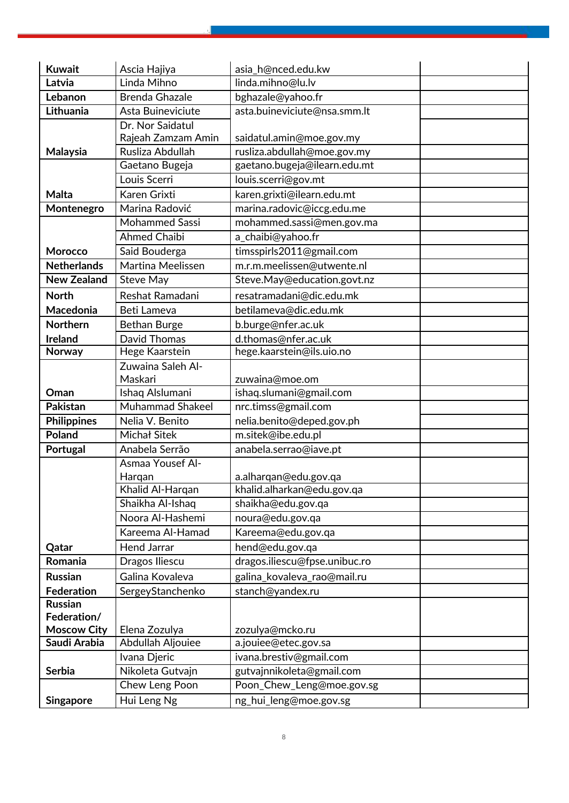| <b>Kuwait</b>      | Ascia Hajiya            | asia_h@nced.edu.kw            |
|--------------------|-------------------------|-------------------------------|
| Latvia             | Linda Mihno             | linda.mihno@lu.lv             |
| Lebanon            | <b>Brenda Ghazale</b>   | bghazale@yahoo.fr             |
| Lithuania          | Asta Buineviciute       | asta.buineviciute@nsa.smm.lt  |
|                    | Dr. Nor Saidatul        |                               |
|                    | Rajeah Zamzam Amin      | saidatul.amin@moe.gov.my      |
| Malaysia           | Rusliza Abdullah        | rusliza.abdullah@moe.gov.my   |
|                    | Gaetano Bugeja          | gaetano.bugeja@ilearn.edu.mt  |
|                    | Louis Scerri            | louis.scerri@gov.mt           |
| Malta              | Karen Grixti            | karen.grixti@ilearn.edu.mt    |
| Montenegro         | Marina Radović          | marina.radovic@iccg.edu.me    |
|                    | <b>Mohammed Sassi</b>   | mohammed.sassi@men.gov.ma     |
|                    | <b>Ahmed Chaibi</b>     | a_chaibi@yahoo.fr             |
| Morocco            | Said Bouderga           | timsspirls2011@gmail.com      |
| <b>Netherlands</b> | Martina Meelissen       | m.r.m.meelissen@utwente.nl    |
| New Zealand        | <b>Steve May</b>        | Steve.May@education.govt.nz   |
| <b>North</b>       | Reshat Ramadani         | resatramadani@dic.edu.mk      |
| Macedonia          | Beti Lameva             | betilameva@dic.edu.mk         |
| <b>Northern</b>    | <b>Bethan Burge</b>     | b.burge@nfer.ac.uk            |
| Ireland            | <b>David Thomas</b>     | d.thomas@nfer.ac.uk           |
| Norway             | Hege Kaarstein          | hege.kaarstein@ils.uio.no     |
|                    | Zuwaina Saleh Al-       |                               |
|                    | Maskari                 | zuwaina@moe.om                |
| Oman               | Ishaq Alslumani         | ishaq.slumani@gmail.com       |
| Pakistan           | <b>Muhammad Shakeel</b> | nrc.timss@gmail.com           |
| <b>Philippines</b> | Nelia V. Benito         | nelia.benito@deped.gov.ph     |
| Poland             | <b>Michał Sitek</b>     | m.sitek@ibe.edu.pl            |
| Portugal           | Anabela Serrão          | anabela.serrao@iave.pt        |
|                    | Asmaa Yousef Al-        |                               |
|                    | Harqan                  | a.alharqan@edu.gov.qa         |
|                    | Khalid Al-Harqan        | khalid.alharkan@edu.gov.qa    |
|                    | Shaikha Al-Ishaq        | shaikha@edu.gov.qa            |
|                    | Noora Al-Hashemi        | noura@edu.gov.qa              |
|                    | Kareema Al-Hamad        | Kareema@edu.gov.qa            |
| Qatar              | <b>Hend Jarrar</b>      | hend@edu.gov.qa               |
| Romania            | Dragos Iliescu          | dragos.iliescu@fpse.unibuc.ro |
| <b>Russian</b>     | Galina Kovaleva         | galina_kovaleva_rao@mail.ru   |
| <b>Federation</b>  | SergeyStanchenko        | stanch@yandex.ru              |
| <b>Russian</b>     |                         |                               |
| Federation/        |                         |                               |
| <b>Moscow City</b> | Elena Zozulya           | zozulya@mcko.ru               |
| Saudi Arabia       | Abdullah Aljouiee       | a.jouiee@etec.gov.sa          |
|                    | Ivana Djeric            | ivana.brestiv@gmail.com       |
| <b>Serbia</b>      | Nikoleta Gutvajn        | gutvajnnikoleta@gmail.com     |
|                    | Chew Leng Poon          | Poon_Chew_Leng@moe.gov.sg     |
| <b>Singapore</b>   | Hui Leng Ng             | ng_hui_leng@moe.gov.sg        |